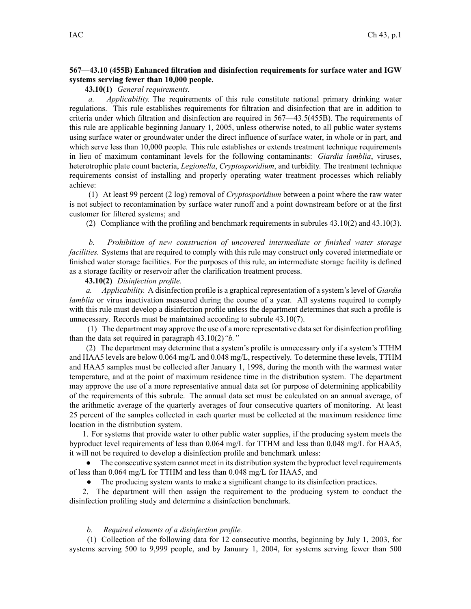## **567—43.10 (455B) Enhanced filtration and disinfection requirements for surface water and IGW systems serving fewer than 10,000 people.**

**43.10(1)** *General requirements.*

*a. Applicability.* The requirements of this rule constitute national primary drinking water regulations. This rule establishes requirements for filtration and disinfection that are in addition to criteria under which filtration and disinfection are required in 567—43.5(455B). The requirements of this rule are applicable beginning January 1, 2005, unless otherwise noted, to all public water systems using surface water or groundwater under the direct influence of surface water, in whole or in part, and which serve less than 10,000 people. This rule establishes or extends treatment technique requirements in lieu of maximum contaminant levels for the following contaminants: *Giardia lamblia*, viruses, heterotrophic plate count bacteria, *Legionella*, *Cryptosporidium*, and turbidity. The treatment technique requirements consist of installing and properly operating water treatment processes which reliably achieve:

(1) At least 99 percen<sup>t</sup> (2 log) removal of *Cryptosporidium* between <sup>a</sup> point where the raw water is not subject to recontamination by surface water runoff and <sup>a</sup> point downstream before or at the first customer for filtered systems; and

(2) Compliance with the profiling and benchmark requirements in subrules 43.10(2) and 43.10(3).

*b. Prohibition of new construction of uncovered intermediate or finished water storage facilities.* Systems that are required to comply with this rule may construct only covered intermediate or finished water storage facilities. For the purposes of this rule, an intermediate storage facility is defined as <sup>a</sup> storage facility or reservoir after the clarification treatment process.

## **43.10(2)** *Disinfection profile.*

*a. Applicability.* A disinfection profile is <sup>a</sup> graphical representation of <sup>a</sup> system's level of *Giardia lamblia* or virus inactivation measured during the course of a year. All systems required to comply with this rule must develop <sup>a</sup> disinfection profile unless the department determines that such <sup>a</sup> profile is unnecessary. Records must be maintained according to subrule 43.10(7).

(1) The department may approve the use of <sup>a</sup> more representative data set for disinfection profiling than the data set required in paragraph 43.10(2)*"b."*

(2) The department may determine that <sup>a</sup> system's profile is unnecessary only if <sup>a</sup> system's TTHM and HAA5 levels are below 0.064 mg/L and 0.048 mg/L, respectively. To determine these levels, TTHM and HAA5 samples must be collected after January 1, 1998, during the month with the warmest water temperature, and at the point of maximum residence time in the distribution system. The department may approve the use of <sup>a</sup> more representative annual data set for purpose of determining applicability of the requirements of this subrule. The annual data set must be calculated on an annual average, of the arithmetic average of the quarterly averages of four consecutive quarters of monitoring. At least 25 percen<sup>t</sup> of the samples collected in each quarter must be collected at the maximum residence time location in the distribution system.

1. For systems that provide water to other public water supplies, if the producing system meets the byproduct level requirements of less than 0.064 mg/L for TTHM and less than 0.048 mg/L for HAA5, it will not be required to develop <sup>a</sup> disinfection profile and benchmark unless:

● The consecutive system cannot meet in its distribution system the byproduct level requirements of less than 0.064 mg/L for TTHM and less than 0.048 mg/L for HAA5, and

● The producing system wants to make <sup>a</sup> significant change to its disinfection practices.

2. The department will then assign the requirement to the producing system to conduct the disinfection profiling study and determine <sup>a</sup> disinfection benchmark.

## *b. Required elements of <sup>a</sup> disinfection profile.*

(1) Collection of the following data for 12 consecutive months, beginning by July 1, 2003, for systems serving 500 to 9,999 people, and by January 1, 2004, for systems serving fewer than 500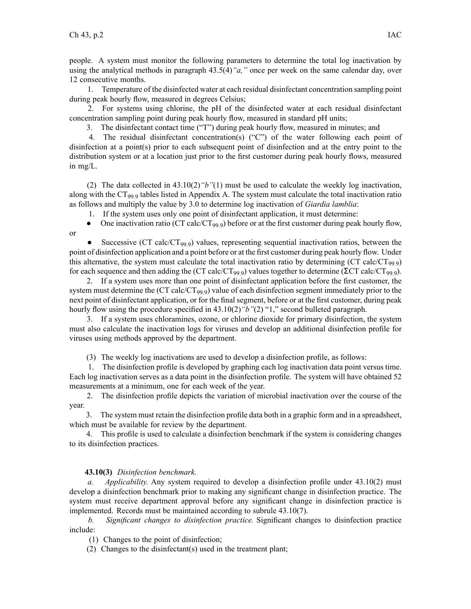or

people. A system must monitor the following parameters to determine the total log inactivation by using the analytical methods in paragraph 43.5(4)*"a,"* once per week on the same calendar day, over 12 consecutive months.

1. Temperature of the disinfected water at each residual disinfectant concentration sampling point during peak hourly flow, measured in degrees Celsius;

2. For systems using chlorine, the pH of the disinfected water at each residual disinfectant concentration sampling point during peak hourly flow, measured in standard pH units;

3. The disinfectant contact time ("T") during peak hourly flow, measured in minutes; and

4. The residual disinfectant concentration(s) ("C") of the water following each point of disinfection at <sup>a</sup> point(s) prior to each subsequent point of disinfection and at the entry point to the distribution system or at <sup>a</sup> location just prior to the first customer during peak hourly flows, measured in mg/L.

(2) The data collected in 43.10(2)*"b"*(1) must be used to calculate the weekly log inactivation, along with the CT<sub>99</sub> tables listed in Appendix A. The system must calculate the total inactivation ratio as follows and multiply the value by 3.0 to determine log inactivation of *Giardia lamblia*:

1. If the system uses only one point of disinfectant application, it must determine:

●One inactivation ratio (CT calc/CT<sub>99.9</sub>) before or at the first customer during peak hourly flow,

●Successive (CT calc/CT<sub>99.9</sub>) values, representing sequential inactivation ratios, between the point of disinfection application and <sup>a</sup> point before or at the first customer during peak hourly flow. Under this alternative, the system must calculate the total inactivation ratio by determining (CT calc/CT<sub>99.9</sub>) for each sequence and then adding the (CT calc/CT<sub>99.9</sub>) values together to determine ( $\Sigma$ CT calc/CT<sub>99.9</sub>).

2. If <sup>a</sup> system uses more than one point of disinfectant application before the first customer, the system must determine the (CT calc/CT<sub>99.9</sub>) value of each disinfection segment immediately prior to the next point of disinfectant application, or for the final segment, before or at the first customer, during peak hourly flow using the procedure specified in 43.10(2) "b"(2) "1," second bulleted paragraph.

3. If <sup>a</sup> system uses chloramines, ozone, or chlorine dioxide for primary disinfection, the system must also calculate the inactivation logs for viruses and develop an additional disinfection profile for viruses using methods approved by the department.

(3) The weekly log inactivations are used to develop <sup>a</sup> disinfection profile, as follows:

1. The disinfection profile is developed by graphing each log inactivation data point versus time. Each log inactivation serves as <sup>a</sup> data point in the disinfection profile. The system will have obtained 52 measurements at <sup>a</sup> minimum, one for each week of the year.

2. The disinfection profile depicts the variation of microbial inactivation over the course of the year.

3. The system must retain the disinfection profile data both in <sup>a</sup> graphic form and in <sup>a</sup> spreadsheet, which must be available for review by the department.

4. This profile is used to calculate <sup>a</sup> disinfection benchmark if the system is considering changes to its disinfection practices.

## **43.10(3)** *Disinfection benchmark.*

*a. Applicability.* Any system required to develop <sup>a</sup> disinfection profile under 43.10(2) must develop <sup>a</sup> disinfection benchmark prior to making any significant change in disinfection practice. The system must receive department approval before any significant change in disinfection practice is implemented. Records must be maintained according to subrule 43.10(7).

*b. Significant changes to disinfection practice.* Significant changes to disinfection practice include:

(1) Changes to the point of disinfection;

(2) Changes to the disinfectant(s) used in the treatment plant;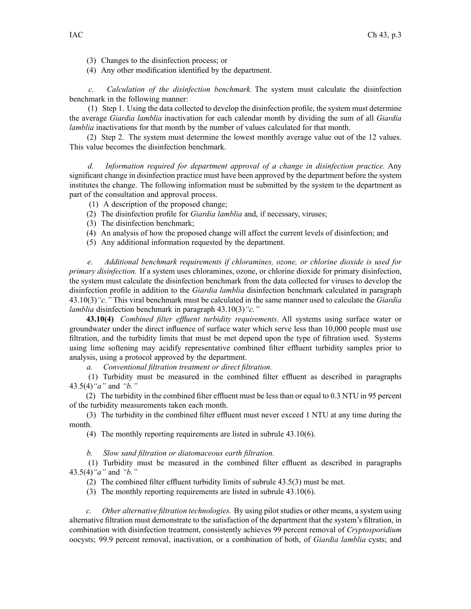- (3) Changes to the disinfection process; or
- (4) Any other modification identified by the department.

*c. Calculation of the disinfection benchmark.* The system must calculate the disinfection benchmark in the following manner:

(1) Step 1. Using the data collected to develop the disinfection profile, the system must determine the average *Giardia lamblia* inactivation for each calendar month by dividing the sum of all *Giardia lamblia* inactivations for that month by the number of values calculated for that month.

(2) Step 2. The system must determine the lowest monthly average value out of the 12 values. This value becomes the disinfection benchmark.

*d. Information required for department approval of <sup>a</sup> change in disinfection practice.* Any significant change in disinfection practice must have been approved by the department before the system institutes the change. The following information must be submitted by the system to the department as par<sup>t</sup> of the consultation and approval process.

- (1) A description of the proposed change;
- (2) The disinfection profile for *Giardia lamblia* and, if necessary, viruses;
- (3) The disinfection benchmark;
- (4) An analysis of how the proposed change will affect the current levels of disinfection; and
- (5) Any additional information requested by the department.

*e. Additional benchmark requirements if chloramines, ozone, or chlorine dioxide is used for primary disinfection.* If <sup>a</sup> system uses chloramines, ozone, or chlorine dioxide for primary disinfection, the system must calculate the disinfection benchmark from the data collected for viruses to develop the disinfection profile in addition to the *Giardia lamblia* disinfection benchmark calculated in paragraph 43.10(3)*"c."* This viral benchmark must be calculated in the same manner used to calculate the *Giardia lamblia* disinfection benchmark in paragraph 43.10(3)*"c."*

**43.10(4)** *Combined filter effluent turbidity requirements.* All systems using surface water or groundwater under the direct influence of surface water which serve less than 10,000 people must use filtration, and the turbidity limits that must be met depend upon the type of filtration used. Systems using lime softening may acidify representative combined filter effluent turbidity samples prior to analysis, using <sup>a</sup> protocol approved by the department.

*a. Conventional filtration treatment or direct filtration.*

(1) Turbidity must be measured in the combined filter effluent as described in paragraphs 43.5(4)*"a"* and *"b."*

(2) The turbidity in the combined filter effluent must be less than or equal to 0.3 NTU in 95 percen<sup>t</sup> of the turbidity measurements taken each month.

(3) The turbidity in the combined filter effluent must never exceed 1 NTU at any time during the month.

(4) The monthly reporting requirements are listed in subrule 43.10(6).

*b. Slow sand filtration or diatomaceous earth filtration.*

(1) Turbidity must be measured in the combined filter effluent as described in paragraphs 43.5(4)*"a"* and *"b."*

(2) The combined filter effluent turbidity limits of subrule 43.5(3) must be met.

(3) The monthly reporting requirements are listed in subrule 43.10(6).

*c. Other alternative filtration technologies.* By using pilot studies or other means, <sup>a</sup> system using alternative filtration must demonstrate to the satisfaction of the department that the system's filtration, in combination with disinfection treatment, consistently achieves 99 percen<sup>t</sup> removal of *Cryptosporidium* oocysts; 99.9 percen<sup>t</sup> removal, inactivation, or <sup>a</sup> combination of both, of *Giardia lamblia* cysts; and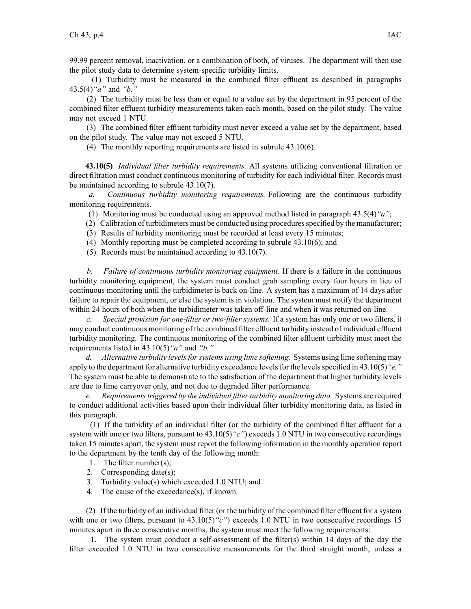99.99 percen<sup>t</sup> removal, inactivation, or <sup>a</sup> combination of both, of viruses. The department will then use the pilot study data to determine system-specific turbidity limits.

(1) Turbidity must be measured in the combined filter effluent as described in paragraphs 43.5(4)*"a"* and *"b."*

(2) The turbidity must be less than or equal to <sup>a</sup> value set by the department in 95 percen<sup>t</sup> of the combined filter effluent turbidity measurements taken each month, based on the pilot study. The value may not exceed 1 NTU.

(3) The combined filter effluent turbidity must never exceed <sup>a</sup> value set by the department, based on the pilot study. The value may not exceed 5 NTU.

(4) The monthly reporting requirements are listed in subrule 43.10(6).

**43.10(5)** *Individual filter turbidity requirements.* All systems utilizing conventional filtration or direct filtration must conduct continuous monitoring of turbidity for each individual filter. Records must be maintained according to subrule 43.10(7).

*a. Continuous turbidity monitoring requirements.* Following are the continuous turbidity monitoring requirements.

(1) Monitoring must be conducted using an approved method listed in paragraph 43.5(4)*"a"*;

- (2) Calibration of turbidimeters must be conducted using proceduresspecified by the manufacturer;
- (3) Results of turbidity monitoring must be recorded at least every 15 minutes;
- (4) Monthly reporting must be completed according to subrule 43.10(6); and
- (5) Records must be maintained according to 43.10(7).

*b. Failure of continuous turbidity monitoring equipment.* If there is <sup>a</sup> failure in the continuous turbidity monitoring equipment, the system must conduct grab sampling every four hours in lieu of continuous monitoring until the turbidimeter is back on-line. A system has <sup>a</sup> maximum of 14 days after failure to repair the equipment, or else the system is in violation. The system must notify the department within 24 hours of both when the turbidimeter was taken off-line and when it was returned on-line.

*c. Special provision for one-filter or two-filter systems.* If <sup>a</sup> system has only one or two filters, it may conduct continuous monitoring of the combined filter effluent turbidity instead of individual effluent turbidity monitoring. The continuous monitoring of the combined filter effluent turbidity must meet the requirements listed in 43.10(5)*"a"* and *"b."*

*d. Alternative turbidity levelsforsystems using lime softening.* Systems using lime softening may apply to the department for alternative turbidity exceedance levels for the levels specified in 43.10(5) "*e.*" The system must be able to demonstrate to the satisfaction of the department that higher turbidity levels are due to lime carryover only, and not due to degraded filter performance.

*e. Requirementstriggered by the individual filterturbidity monitoring data.* Systems are required to conduct additional activities based upon their individual filter turbidity monitoring data, as listed in this paragraph.

(1) If the turbidity of an individual filter (or the turbidity of the combined filter effluent for <sup>a</sup> system with one or two filters, pursuant to 43.10(5) "c" exceeds 1.0 NTU in two consecutive recordings taken 15 minutes apart, the system must repor<sup>t</sup> the following information in the monthly operation repor<sup>t</sup> to the department by the tenth day of the following month:

- 1. The filter number(s);
- 2. Corresponding date(s);
- 3. Turbidity value(s) which exceeded 1.0 NTU; and
- 4. The cause of the exceedance(s), if known.

(2) If the turbidity of an individual filter (or the turbidity of the combined filter effluent for <sup>a</sup> system with one or two filters, pursuant to  $43.10(5)$  "c") exceeds 1.0 NTU in two consecutive recordings 15 minutes apar<sup>t</sup> in three consecutive months, the system must meet the following requirements:

1. The system must conduct <sup>a</sup> self-assessment of the filter(s) within 14 days of the day the filter exceeded 1.0 NTU in two consecutive measurements for the third straight month, unless <sup>a</sup>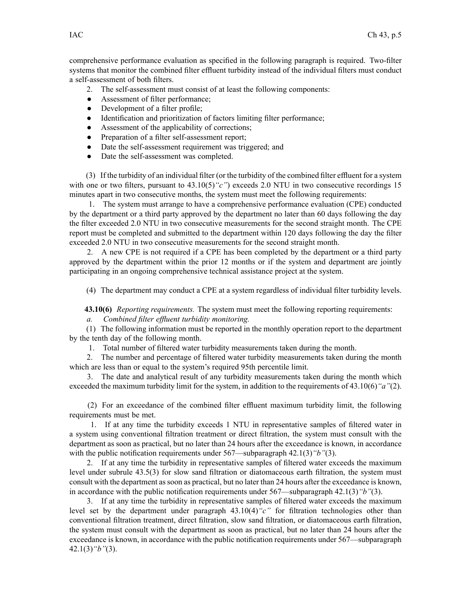comprehensive performance evaluation as specified in the following paragraph is required. Two-filter systems that monitor the combined filter effluent turbidity instead of the individual filters must conduct <sup>a</sup> self-assessment of both filters.

- 2. The self-assessment must consist of at least the following components:
- $\bullet$ Assessment of filter performance;
- ●Development of <sup>a</sup> filter profile;
- $\bullet$ Identification and prioritization of factors limiting filter performance;
- $\bullet$ Assessment of the applicability of corrections;
- ●Preparation of <sup>a</sup> filter self-assessment report;
- $\bullet$ Date the self-assessment requirement was triggered; and
- $\bullet$ Date the self-assessment was completed.

(3) If the turbidity of an individual filter (or the turbidity of the combined filter effluent for <sup>a</sup> system with one or two filters, pursuant to 43.10(5) "c" exceeds 2.0 NTU in two consecutive recordings 15 minutes apar<sup>t</sup> in two consecutive months, the system must meet the following requirements:

1. The system must arrange to have <sup>a</sup> comprehensive performance evaluation (CPE) conducted by the department or <sup>a</sup> third party approved by the department no later than 60 days following the day the filter exceeded 2.0 NTU in two consecutive measurements for the second straight month. The CPE repor<sup>t</sup> must be completed and submitted to the department within 120 days following the day the filter exceeded 2.0 NTU in two consecutive measurements for the second straight month.

2. A new CPE is not required if <sup>a</sup> CPE has been completed by the department or <sup>a</sup> third party approved by the department within the prior 12 months or if the system and department are jointly participating in an ongoing comprehensive technical assistance project at the system.

(4) The department may conduct <sup>a</sup> CPE at <sup>a</sup> system regardless of individual filter turbidity levels.

**43.10(6)** *Reporting requirements.* The system must meet the following reporting requirements:

*a. Combined filter effluent turbidity monitoring.*

(1) The following information must be reported in the monthly operation repor<sup>t</sup> to the department by the tenth day of the following month.

1. Total number of filtered water turbidity measurements taken during the month.

2. The number and percentage of filtered water turbidity measurements taken during the month which are less than or equal to the system's required 95th percentile limit.

3. The date and analytical result of any turbidity measurements taken during the month which exceeded the maximum turbidity limit for the system, in addition to the requirements of 43.10(6)*"a"*(2).

(2) For an exceedance of the combined filter effluent maximum turbidity limit, the following requirements must be met.

1. If at any time the turbidity exceeds 1 NTU in representative samples of filtered water in <sup>a</sup> system using conventional filtration treatment or direct filtration, the system must consult with the department as soon as practical, but no later than 24 hours after the exceedance is known, in accordance with the public notification requirements under 567—subparagraph 42.1(3)*"b"*(3).

2. If at any time the turbidity in representative samples of filtered water exceeds the maximum level under subrule 43.5(3) for slow sand filtration or diatomaceous earth filtration, the system must consult with the department assoon as practical, but no later than 24 hours after the exceedance is known, in accordance with the public notification requirements under 567—subparagraph 42.1(3)*"b"*(3).

3. If at any time the turbidity in representative samples of filtered water exceeds the maximum level set by the department under paragraph 43.10(4)*"c"* for filtration technologies other than conventional filtration treatment, direct filtration, slow sand filtration, or diatomaceous earth filtration, the system must consult with the department as soon as practical, but no later than 24 hours after the exceedance is known, in accordance with the public notification requirements under 567—subparagraph 42.1(3)*"b"*(3).